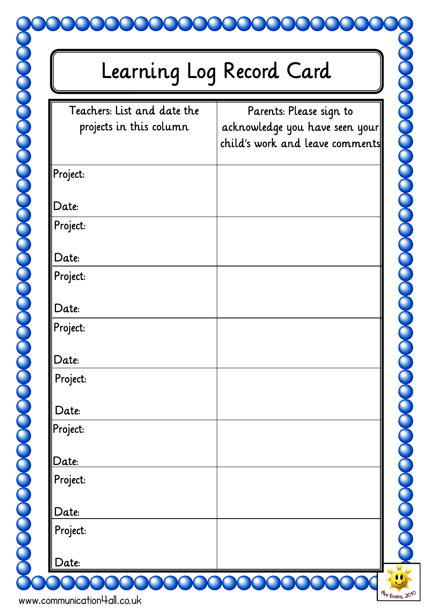## Learning Log Record Card

| Teachers: List and date the | Parents: Please sign to         |
|-----------------------------|---------------------------------|
| projects in this column     | acknowledge you have seen your  |
|                             | child's work and leave comments |
|                             |                                 |
| Project:                    |                                 |
| Date:                       |                                 |
| Project:                    |                                 |
|                             |                                 |
| Date:                       |                                 |
| Project:                    |                                 |
|                             |                                 |
| Date:                       |                                 |
| Project:                    |                                 |
|                             |                                 |
| Date:                       |                                 |
| Project:                    |                                 |
|                             |                                 |
| Date:                       |                                 |
| Project:                    |                                 |
|                             |                                 |
| Date:                       |                                 |
| Project:                    |                                 |
| Date:                       |                                 |
|                             |                                 |
| Project:                    |                                 |
| Date:                       |                                 |
|                             |                                 |

dev Evans, 2010

www.communication4all.co.uk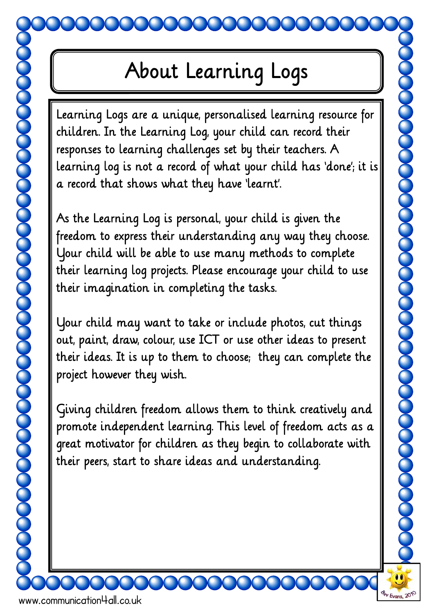www.communication4all.co.uk

Learning Logs are a unique, personalised learning resource for children. In the Learning Log, your child can record their responses to learning challenges set by their teachers. A learning log is not a record of what your child has 'done'; it is a record that shows what they have 'learnt'.

As the Learning Log is personal, your child is given the freedom to express their understanding any way they choose. Your child will be able to use many methods to complete their learning log projects. Please encourage your child to use their imagination in completing the tasks.

Your child may want to take or include photos, cut things out, paint, draw, colour, use ICT or use other ideas to present their ideas. It is up to them to choose; they can complete the project however they wish.

**POSSO DE CONSTRUIT DE CONSTRUIT** 

Giving children freedom allows them to think creatively and promote independent learning. This level of freedom acts as a great motivator for children as they begin to collaborate with their peers, start to share ideas and understanding.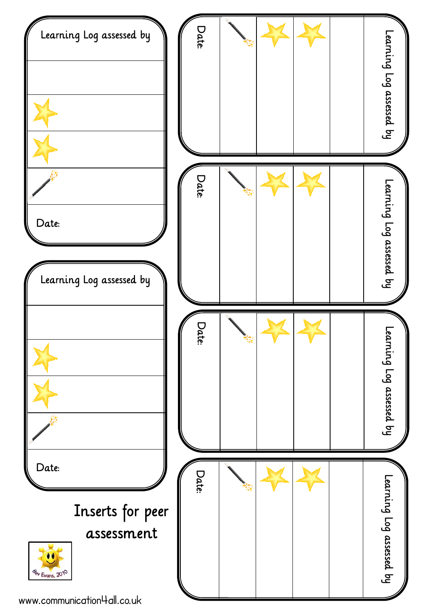

www.communication4all.co.uk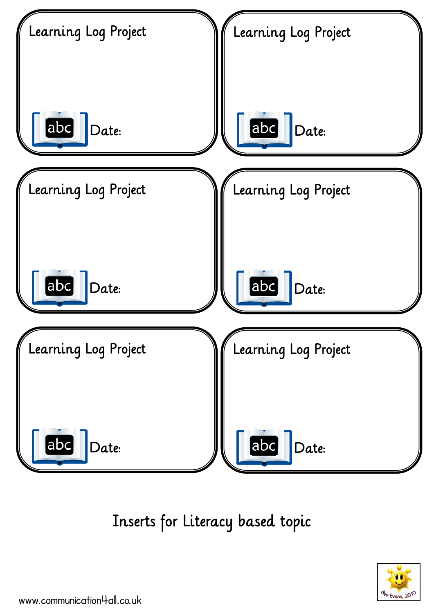

Inserts for Literacy based topic

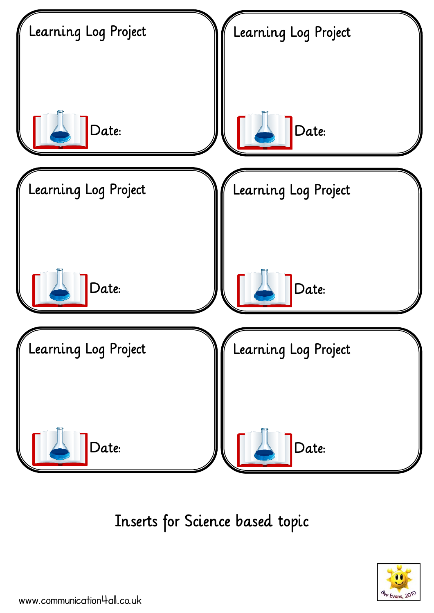

Inserts for Science based topic

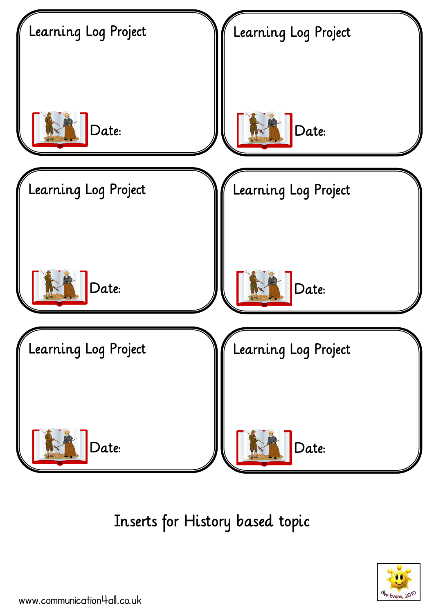

Inserts for History based topic

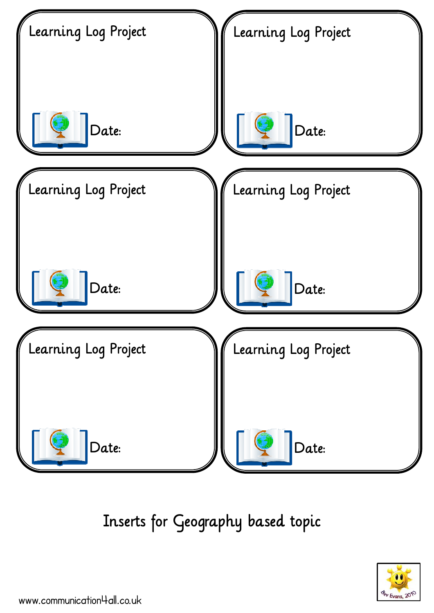

Inserts for Geography based topic

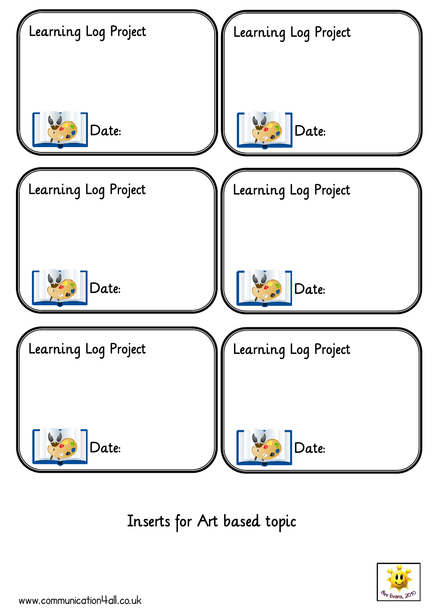

Inserts for Art based topic